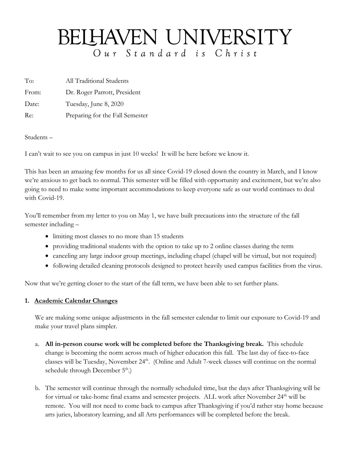# BELHAVEN UNIVERSITY Our Standard is Christ

To: All Traditional Students

From: Dr. Roger Parrott, President

Date: Tuesday, June 8, 2020

Re: Preparing for the Fall Semester

Students –

I can't wait to see you on campus in just 10 weeks! It will be here before we know it.

This has been an amazing few months for us all since Covid-19 closed down the country in March, and I know we're anxious to get back to normal. This semester will be filled with opportunity and excitement, but we're also going to need to make some important accommodations to keep everyone safe as our world continues to deal with Covid-19.

You'll remember from my letter to you on May 1, we have built precautions into the structure of the fall semester including –

- limiting most classes to no more than 15 students
- providing traditional students with the option to take up to 2 online classes during the term
- canceling any large indoor group meetings, including chapel (chapel will be virtual, but not required)
- following detailed cleaning protocols designed to protect heavily used campus facilities from the virus.

Now that we're getting closer to the start of the fall term, we have been able to set further plans.

# **1. Academic Calendar Changes**

We are making some unique adjustments in the fall semester calendar to limit our exposure to Covid-19 and make your travel plans simpler.

- a. **All in-person course work will be completed before the Thanksgiving break.** This schedule change is becoming the norm across much of higher education this fall. The last day of face-to-face classes will be Tuesday, November 24<sup>th</sup>. (Online and Adult 7-week classes will continue on the normal schedule through December  $5<sup>th</sup>$ .)
- b. The semester will continue through the normally scheduled time, but the days after Thanksgiving will be for virtual or take-home final exams and semester projects. ALL work after November 24<sup>th</sup> will be remote. You will not need to come back to campus after Thanksgiving if you'd rather stay home because arts juries, laboratory learning, and all Arts performances will be completed before the break.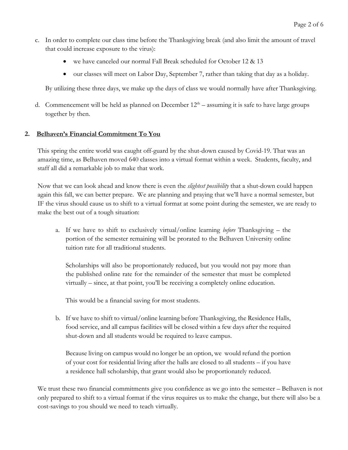- c. In order to complete our class time before the Thanksgiving break (and also limit the amount of travel that could increase exposure to the virus):
	- we have canceled our normal Fall Break scheduled for October 12 & 13
	- our classes will meet on Labor Day, September 7, rather than taking that day as a holiday.

By utilizing these three days, we make up the days of class we would normally have after Thanksgiving.

d. Commencement will be held as planned on December  $12<sup>th</sup>$  – assuming it is safe to have large groups together by then.

## **2. Belhaven's Financial Commitment To You**

This spring the entire world was caught off-guard by the shut-down caused by Covid-19. That was an amazing time, as Belhaven moved 640 classes into a virtual format within a week. Students, faculty, and staff all did a remarkable job to make that work.

Now that we can look ahead and know there is even the *slightest possibility* that a shut-down could happen again this fall, we can better prepare. We are planning and praying that we'll have a normal semester, but IF the virus should cause us to shift to a virtual format at some point during the semester, we are ready to make the best out of a tough situation:

a. If we have to shift to exclusively virtual/online learning *before* Thanksgiving – the portion of the semester remaining will be prorated to the Belhaven University online tuition rate for all traditional students.

Scholarships will also be proportionately reduced, but you would not pay more than the published online rate for the remainder of the semester that must be completed virtually – since, at that point, you'll be receiving a completely online education.

This would be a financial saving for most students.

b. If we have to shift to virtual/online learning before Thanksgiving, the Residence Halls, food service, and all campus facilities will be closed within a few days after the required shut-down and all students would be required to leave campus.

Because living on campus would no longer be an option, we would refund the portion of your cost for residential living after the halls are closed to all students – if you have a residence hall scholarship, that grant would also be proportionately reduced.

We trust these two financial commitments give you confidence as we go into the semester – Belhaven is not only prepared to shift to a virtual format if the virus requires us to make the change, but there will also be a cost-savings to you should we need to teach virtually.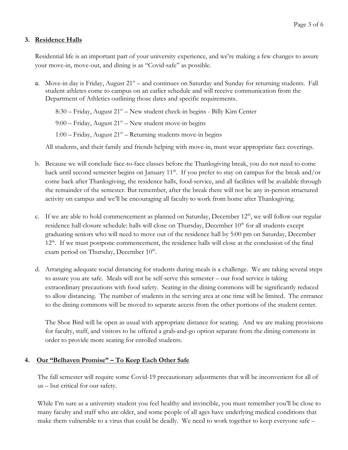## **3. Residence Halls**

Residential life is an important part of your university experience, and we're making a few changes to assure your move-in, move-out, and dining is as "Covid-safe" as possible.

a. Move-in day is Friday, August  $21<sup>st</sup>$  – and continues on Saturday and Sunday for returning students. Fall student athletes come to campus on an earlier schedule and will receive communication from the Department of Athletics outlining those dates and specific requirements.

 $8:30$  – Friday, August  $21<sup>st</sup>$  – New student check-in begins - Billy Kim Center 9:00 – Friday, August  $21^{st}$  – New student move-in begins 1:00 – Friday, August  $21^{st}$  – Returning students move-in begins

All students, and their family and friends helping with move-in, must wear appropriate face coverings.

- b. Because we will conclude face-to-face classes before the Thanksgiving break, you do not need to come back until second semester begins on January  $11<sup>th</sup>$ . If you prefer to stay on campus for the break and/or come back after Thanksgiving, the residence halls, food-service, and all facilities will be available through the remainder of the semester. But remember, after the break there will not be any in-person structured activity on campus and we'll be encouraging all faculty to work from home after Thanksgiving.
- c. If we are able to hold commencement as planned on Saturday, December  $12<sup>th</sup>$ , we will follow our regular residence hall closure schedule: halls will close on Thursday, December  $10<sup>th</sup>$  for all students except graduating seniors who will need to move out of the residence hall by 5:00 pm on Saturday, December 12<sup>th</sup>. If we must postpone commencement, the residence halls will close at the conclusion of the final exam period on Thursday, December  $10<sup>th</sup>$ .
- d. Arranging adequate social distancing for students during meals is a challenge. We are taking several steps to assure you are safe. Meals will not be self-serve this semester – our food service is taking extraordinary precautions with food safety. Seating in the dining commons will be significantly reduced to allow distancing. The number of students in the serving area at one time will be limited. The entrance to the dining commons will be moved to separate access from the other portions of the student center.

The Shoe Bird will be open as usual with appropriate distance for seating. And we are making provisions for faculty, staff, and visitors to be offered a grab-and-go option separate from the dining commons in order to provide more seating for enrolled students.

#### **4. Our "Belhaven Promise" – To Keep Each Other Safe**

The fall semester will require some Covid-19 precautionary adjustments that will be inconvenient for all of us – but critical for our safety.

While I'm sure as a university student you feel healthy and invincible, you must remember you'll be close to many faculty and staff who are older, and some people of all ages have underlying medical conditions that make them vulnerable to a virus that could be deadly. We need to work together to keep everyone safe –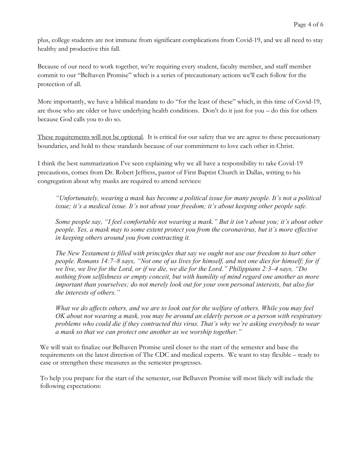plus, college students are not immune from significant complications from Covid-19, and we all need to stay healthy and productive this fall.

Because of our need to work together, we're requiring every student, faculty member, and staff member commit to our "Belhaven Promise" which is a series of precautionary actions we'll each follow for the protection of all.

More importantly, we have a biblical mandate to do "for the least of these" which, in this time of Covid-19, are those who are older or have underlying health conditions. Don't do it just for you – do this for others because God calls you to do so.

These requirements will not be optional. It is critical for our safety that we are agree to these precautionary boundaries, and hold to these standards because of our commitment to love each other in Christ.

I think the best summarization I've seen explaining why we all have a responsibility to take Covid-19 precautions, comes from Dr. Robert Jeffress, pastor of First Baptist Church in Dallas, writing to his congregation about why masks are required to attend services:

*"Unfortunately, wearing a mask has become a political issue for many people. It's not a political issue; it's a medical issue. It's not about your freedom; it's about keeping other people safe.*

*Some people say, "I feel comfortable not wearing a mask." But it isn't about you; it's about other people. Yes, a mask may to some extent protect you from the coronavirus, but it's more effective in keeping others around you from contracting it.*

*The New Testament is filled with principles that say we ought not use our freedom to hurt other people. Romans 14:7–8 says, "Not one of us lives for himself, and not one dies for himself; for if we live, we live for the Lord, or if we die, we die for the Lord." Philippians 2:3–4 says, "Do nothing from selfishness or empty conceit, but with humility of mind regard one another as more important than yourselves; do not merely look out for your own personal interests, but also for the interests of others."*

*What we do affects others, and we are to look out for the welfare of others. While you may feel OK about not wearing a mask, you may be around an elderly person or a person with respiratory problems who could die if they contracted this virus. That's why we're asking everybody to wear a mask so that we can protect one another as we worship together."*

We will wait to finalize our Belhaven Promise until closer to the start of the semester and base the requirements on the latest direction of The CDC and medical experts. We want to stay flexible – ready to ease or strengthen these measures as the semester progresses.

To help you prepare for the start of the semester, our Belhaven Promise will most likely will include the following expectations: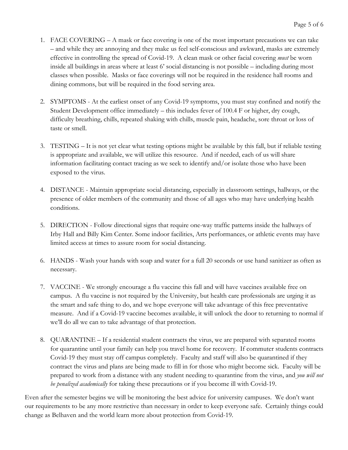- 1. FACE COVERING A mask or face covering is one of the most important precautions we can take – and while they are annoying and they make us feel self-conscious and awkward, masks are extremely effective in controlling the spread of Covid-19. A clean mask or other facial covering *must* be worn inside all buildings in areas where at least 6' social distancing is not possible – including during most classes when possible. Masks or face coverings will not be required in the residence hall rooms and dining commons, but will be required in the food serving area.
- 2. SYMPTOMS At the earliest onset of any Covid-19 symptoms, you must stay confined and notify the Student Development office immediately – this includes fever of 100.4 F or higher, dry cough, difficulty breathing, chills, repeated shaking with chills, muscle pain, headache, sore throat or loss of taste or smell.
- 3. TESTING It is not yet clear what testing options might be available by this fall, but if reliable testing is appropriate and available, we will utilize this resource. And if needed, each of us will share information facilitating contact tracing as we seek to identify and/or isolate those who have been exposed to the virus.
- 4. DISTANCE Maintain appropriate social distancing, especially in classroom settings, hallways, or the presence of older members of the community and those of all ages who may have underlying health conditions.
- 5. DIRECTION Follow directional signs that require one-way traffic patterns inside the hallways of Irby Hall and Billy Kim Center. Some indoor facilities, Arts performances, or athletic events may have limited access at times to assure room for social distancing.
- 6. HANDS Wash your hands with soap and water for a full 20 seconds or use hand sanitizer as often as necessary.
- 7. VACCINE We strongly encourage a flu vaccine this fall and will have vaccines available free on campus. A flu vaccine is not required by the University, but health care professionals are urging it as the smart and safe thing to do, and we hope everyone will take advantage of this free preventative measure. And if a Covid-19 vaccine becomes available, it will unlock the door to returning to normal if we'll do all we can to take advantage of that protection.
- 8. QUARANTINE If a residential student contracts the virus, we are prepared with separated rooms for quarantine until your family can help you travel home for recovery. If commuter students contracts Covid-19 they must stay off campus completely. Faculty and staff will also be quarantined if they contract the virus and plans are being made to fill in for those who might become sick. Faculty will be prepared to work from a distance with any student needing to quarantine from the virus, and *you will not be penalized academically* for taking these precautions or if you become ill with Covid-19.

Even after the semester begins we will be monitoring the best advice for university campuses. We don't want our requirements to be any more restrictive than necessary in order to keep everyone safe. Certainly things could change as Belhaven and the world learn more about protection from Covid-19.